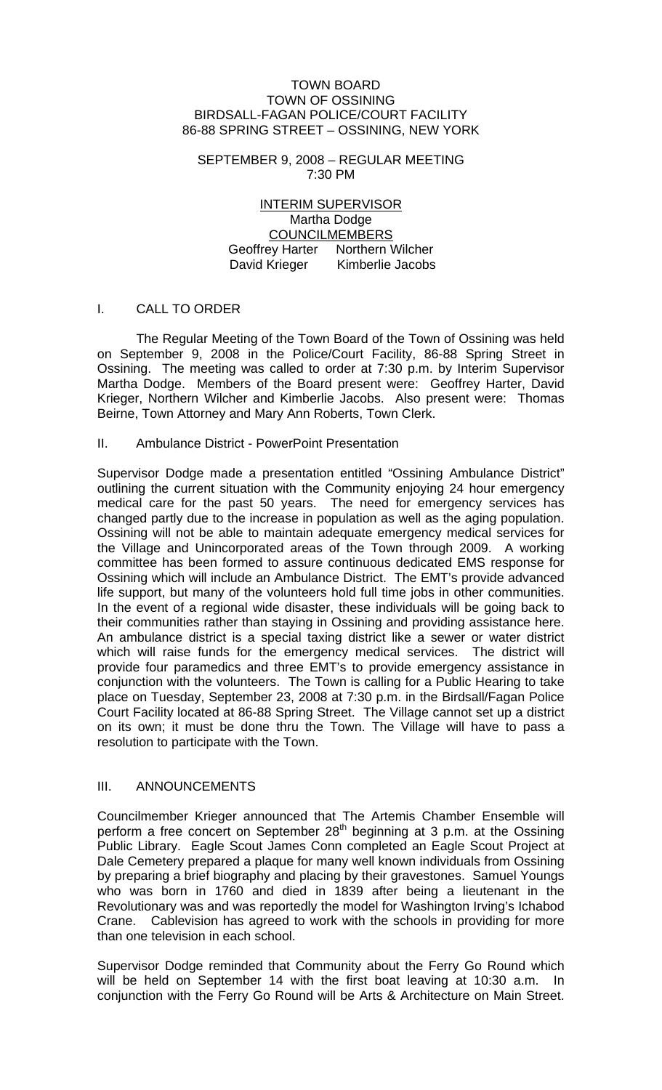#### TOWN BOARD TOWN OF OSSINING BIRDSALL-FAGAN POLICE/COURT FACILITY 86-88 SPRING STREET – OSSINING, NEW YORK

SEPTEMBER 9, 2008 – REGULAR MEETING 7:30 PM

> INTERIM SUPERVISOR Martha Dodge COUNCILMEMBERS Geoffrey Harter Northern Wilcher David Krieger Kimberlie Jacobs

## I. CALL TO ORDER

The Regular Meeting of the Town Board of the Town of Ossining was held on September 9, 2008 in the Police/Court Facility, 86-88 Spring Street in Ossining. The meeting was called to order at 7:30 p.m. by Interim Supervisor Martha Dodge. Members of the Board present were: Geoffrey Harter, David Krieger, Northern Wilcher and Kimberlie Jacobs. Also present were: Thomas Beirne, Town Attorney and Mary Ann Roberts, Town Clerk.

# II. Ambulance District - PowerPoint Presentation

Supervisor Dodge made a presentation entitled "Ossining Ambulance District" outlining the current situation with the Community enjoying 24 hour emergency medical care for the past 50 years. The need for emergency services has changed partly due to the increase in population as well as the aging population. Ossining will not be able to maintain adequate emergency medical services for the Village and Unincorporated areas of the Town through 2009. A working committee has been formed to assure continuous dedicated EMS response for Ossining which will include an Ambulance District. The EMT's provide advanced life support, but many of the volunteers hold full time jobs in other communities. In the event of a regional wide disaster, these individuals will be going back to their communities rather than staying in Ossining and providing assistance here. An ambulance district is a special taxing district like a sewer or water district which will raise funds for the emergency medical services. The district will provide four paramedics and three EMT's to provide emergency assistance in conjunction with the volunteers. The Town is calling for a Public Hearing to take place on Tuesday, September 23, 2008 at 7:30 p.m. in the Birdsall/Fagan Police Court Facility located at 86-88 Spring Street. The Village cannot set up a district on its own; it must be done thru the Town. The Village will have to pass a resolution to participate with the Town.

### III. ANNOUNCEMENTS

Councilmember Krieger announced that The Artemis Chamber Ensemble will perform a free concert on September  $28<sup>th</sup>$  beginning at 3 p.m. at the Ossining Public Library. Eagle Scout James Conn completed an Eagle Scout Project at Dale Cemetery prepared a plaque for many well known individuals from Ossining by preparing a brief biography and placing by their gravestones. Samuel Youngs who was born in 1760 and died in 1839 after being a lieutenant in the Revolutionary was and was reportedly the model for Washington Irving's Ichabod Crane. Cablevision has agreed to work with the schools in providing for more than one television in each school.

Supervisor Dodge reminded that Community about the Ferry Go Round which will be held on September 14 with the first boat leaving at 10:30 a.m. In conjunction with the Ferry Go Round will be Arts & Architecture on Main Street.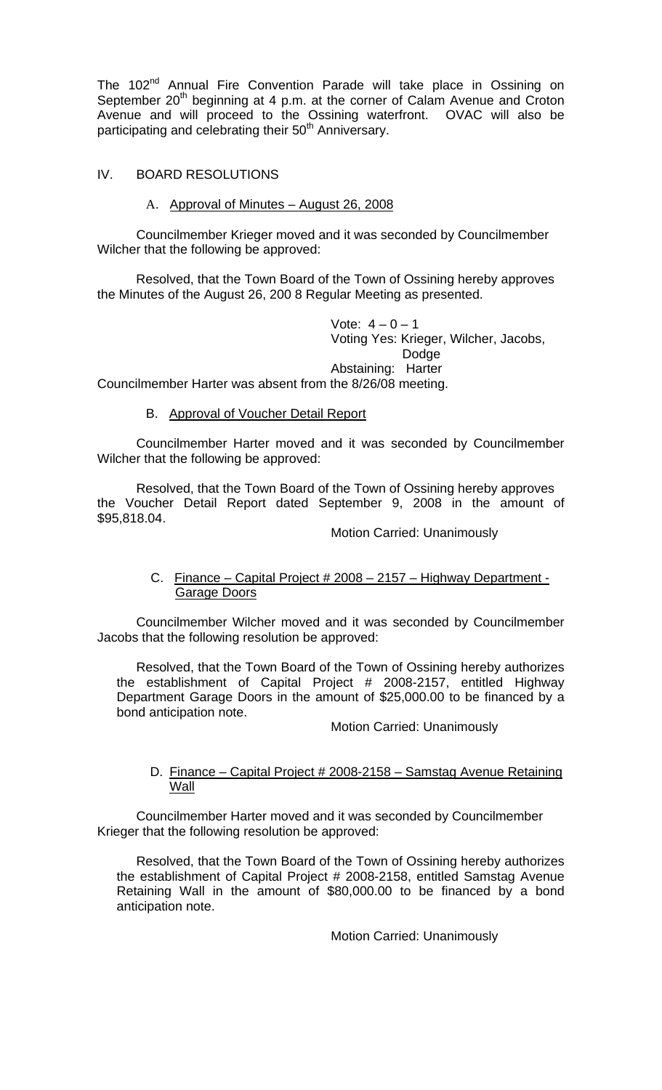The 102<sup>nd</sup> Annual Fire Convention Parade will take place in Ossining on September 20<sup>th</sup> beginning at 4 p.m. at the corner of Calam Avenue and Croton Avenue and will proceed to the Ossining waterfront. OVAC will also be participating and celebrating their 50<sup>th</sup> Anniversary.

### IV. BOARD RESOLUTIONS

### A. Approval of Minutes – August 26, 2008

 Councilmember Krieger moved and it was seconded by Councilmember Wilcher that the following be approved:

Resolved, that the Town Board of the Town of Ossining hereby approves the Minutes of the August 26, 200 8 Regular Meeting as presented.

> Vote:  $4 - 0 - 1$  Voting Yes: Krieger, Wilcher, Jacobs, Dodge Abstaining: Harter

Councilmember Harter was absent from the 8/26/08 meeting.

### B. Approval of Voucher Detail Report

Councilmember Harter moved and it was seconded by Councilmember Wilcher that the following be approved:

Resolved, that the Town Board of the Town of Ossining hereby approves the Voucher Detail Report dated September 9, 2008 in the amount of \$95,818.04.

Motion Carried: Unanimously

## C. Finance – Capital Project # 2008 – 2157 – Highway Department - Garage Doors

 Councilmember Wilcher moved and it was seconded by Councilmember Jacobs that the following resolution be approved:

 Resolved, that the Town Board of the Town of Ossining hereby authorizes the establishment of Capital Project # 2008-2157, entitled Highway Department Garage Doors in the amount of \$25,000.00 to be financed by a bond anticipation note.

Motion Carried: Unanimously

## D. Finance – Capital Project # 2008-2158 – Samstag Avenue Retaining Wall

Councilmember Harter moved and it was seconded by Councilmember Krieger that the following resolution be approved:

Resolved, that the Town Board of the Town of Ossining hereby authorizes the establishment of Capital Project # 2008-2158, entitled Samstag Avenue Retaining Wall in the amount of \$80,000.00 to be financed by a bond anticipation note.

Motion Carried: Unanimously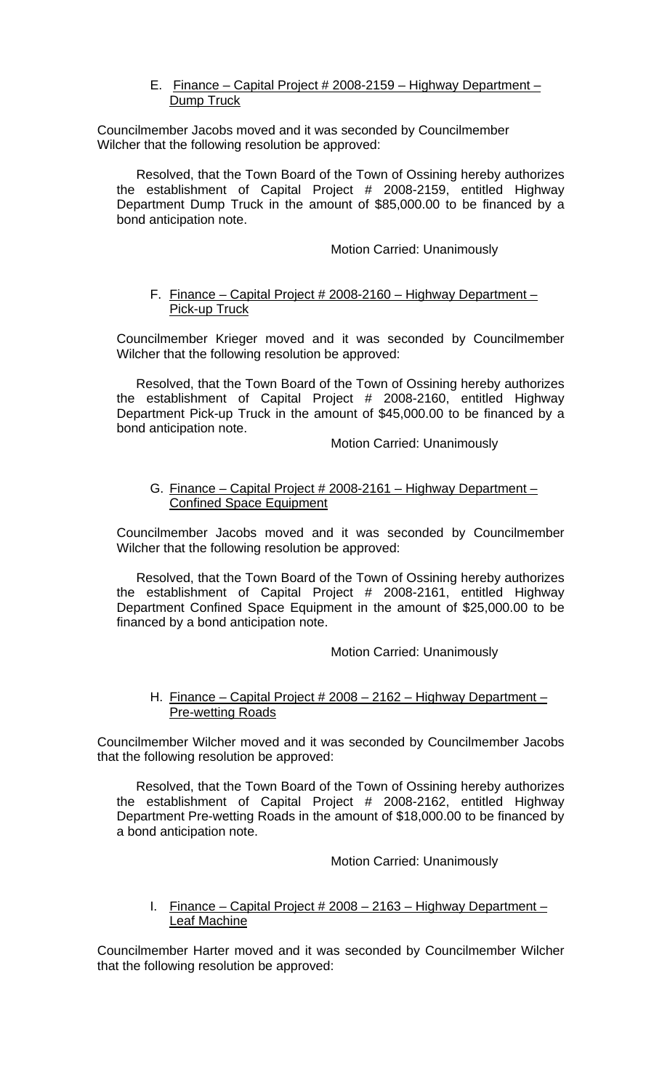# E. Finance – Capital Project # 2008-2159 – Highway Department – **Dump Truck**

Councilmember Jacobs moved and it was seconded by Councilmember Wilcher that the following resolution be approved:

Resolved, that the Town Board of the Town of Ossining hereby authorizes the establishment of Capital Project # 2008-2159, entitled Highway Department Dump Truck in the amount of \$85,000.00 to be financed by a bond anticipation note.

### Motion Carried: Unanimously

### F. Finance – Capital Project # 2008-2160 – Highway Department – Pick-up Truck

Councilmember Krieger moved and it was seconded by Councilmember Wilcher that the following resolution be approved:

Resolved, that the Town Board of the Town of Ossining hereby authorizes the establishment of Capital Project # 2008-2160, entitled Highway Department Pick-up Truck in the amount of \$45,000.00 to be financed by a bond anticipation note.

Motion Carried: Unanimously

## G. Finance - Capital Project # 2008-2161 - Highway Department -Confined Space Equipment

Councilmember Jacobs moved and it was seconded by Councilmember Wilcher that the following resolution be approved:

Resolved, that the Town Board of the Town of Ossining hereby authorizes the establishment of Capital Project # 2008-2161, entitled Highway Department Confined Space Equipment in the amount of \$25,000.00 to be financed by a bond anticipation note.

Motion Carried: Unanimously

# H. Finance – Capital Project # 2008 – 2162 – Highway Department – Pre-wetting Roads

Councilmember Wilcher moved and it was seconded by Councilmember Jacobs that the following resolution be approved:

Resolved, that the Town Board of the Town of Ossining hereby authorizes the establishment of Capital Project # 2008-2162, entitled Highway Department Pre-wetting Roads in the amount of \$18,000.00 to be financed by a bond anticipation note.

Motion Carried: Unanimously

## I. Finance – Capital Project # 2008 – 2163 – Highway Department – Leaf Machine

Councilmember Harter moved and it was seconded by Councilmember Wilcher that the following resolution be approved: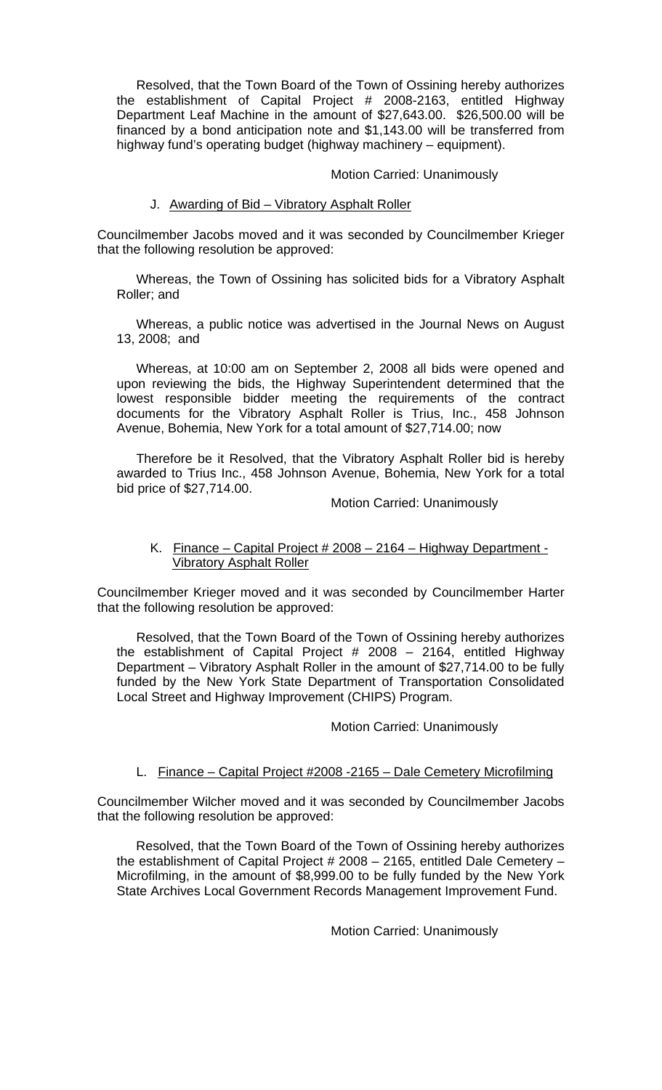Resolved, that the Town Board of the Town of Ossining hereby authorizes the establishment of Capital Project # 2008-2163, entitled Highway Department Leaf Machine in the amount of \$27,643.00. \$26,500.00 will be financed by a bond anticipation note and \$1,143.00 will be transferred from highway fund's operating budget (highway machinery – equipment).

#### Motion Carried: Unanimously

#### J. Awarding of Bid – Vibratory Asphalt Roller

Councilmember Jacobs moved and it was seconded by Councilmember Krieger that the following resolution be approved:

Whereas, the Town of Ossining has solicited bids for a Vibratory Asphalt Roller; and

Whereas, a public notice was advertised in the Journal News on August 13, 2008; and

Whereas, at 10:00 am on September 2, 2008 all bids were opened and upon reviewing the bids, the Highway Superintendent determined that the lowest responsible bidder meeting the requirements of the contract documents for the Vibratory Asphalt Roller is Trius, Inc., 458 Johnson Avenue, Bohemia, New York for a total amount of \$27,714.00; now

Therefore be it Resolved, that the Vibratory Asphalt Roller bid is hereby awarded to Trius Inc., 458 Johnson Avenue, Bohemia, New York for a total bid price of \$27,714.00.

#### Motion Carried: Unanimously

### K. Finance – Capital Project # 2008 – 2164 – Highway Department -Vibratory Asphalt Roller

Councilmember Krieger moved and it was seconded by Councilmember Harter that the following resolution be approved:

Resolved, that the Town Board of the Town of Ossining hereby authorizes the establishment of Capital Project # 2008 – 2164, entitled Highway Department – Vibratory Asphalt Roller in the amount of \$27,714.00 to be fully funded by the New York State Department of Transportation Consolidated Local Street and Highway Improvement (CHIPS) Program.

#### Motion Carried: Unanimously

### L. Finance – Capital Project #2008 -2165 – Dale Cemetery Microfilming

Councilmember Wilcher moved and it was seconded by Councilmember Jacobs that the following resolution be approved:

Resolved, that the Town Board of the Town of Ossining hereby authorizes the establishment of Capital Project # 2008 – 2165, entitled Dale Cemetery – Microfilming, in the amount of \$8,999.00 to be fully funded by the New York State Archives Local Government Records Management Improvement Fund.

Motion Carried: Unanimously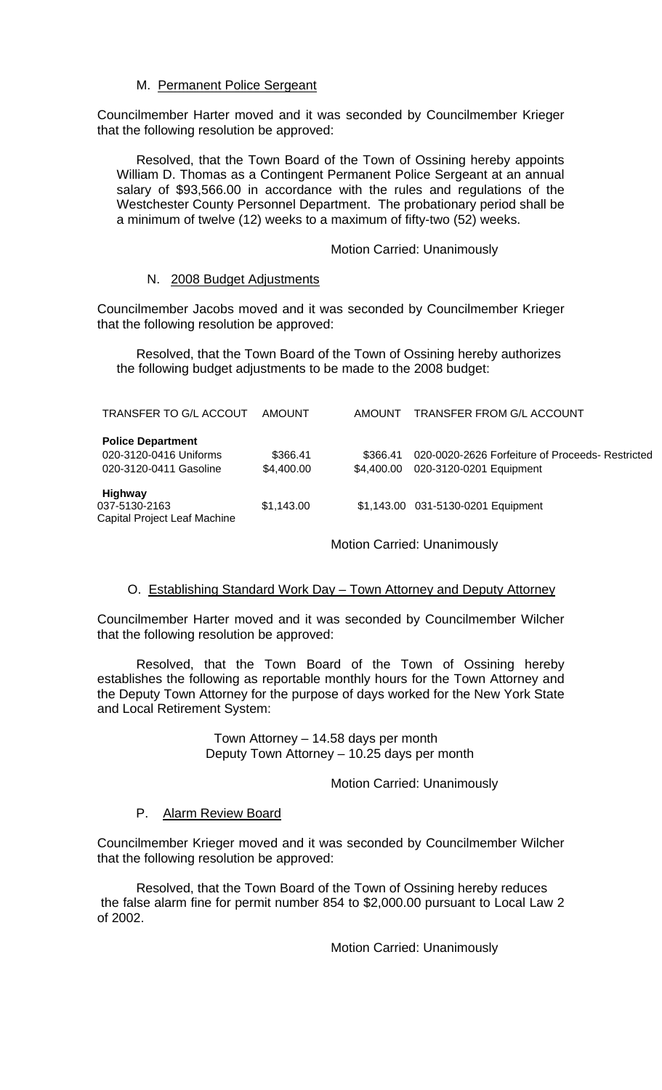# M. Permanent Police Sergeant

Councilmember Harter moved and it was seconded by Councilmember Krieger that the following resolution be approved:

Resolved, that the Town Board of the Town of Ossining hereby appoints William D. Thomas as a Contingent Permanent Police Sergeant at an annual salary of \$93,566.00 in accordance with the rules and regulations of the Westchester County Personnel Department. The probationary period shall be a minimum of twelve (12) weeks to a maximum of fifty-two (52) weeks.

### Motion Carried: Unanimously

### N. 2008 Budget Adjustments

Councilmember Jacobs moved and it was seconded by Councilmember Krieger that the following resolution be approved:

Resolved, that the Town Board of the Town of Ossining hereby authorizes the following budget adjustments to be made to the 2008 budget:

| TRANSFER TO G/L ACCOUT                                                       | AMOUNT                 | AMOUNT                 | <b>TRANSFER FROM G/L ACCOUNT</b>                                            |
|------------------------------------------------------------------------------|------------------------|------------------------|-----------------------------------------------------------------------------|
| <b>Police Department</b><br>020-3120-0416 Uniforms<br>020-3120-0411 Gasoline | \$366.41<br>\$4,400.00 | \$366.41<br>\$4.400.00 | 020-0020-2626 Forfeiture of Proceeds- Restricted<br>020-3120-0201 Equipment |
| <b>Highway</b><br>037-5130-2163<br>Capital Project Leaf Machine              | \$1,143.00             |                        | \$1,143.00 031-5130-0201 Equipment                                          |

Motion Carried: Unanimously

# O. Establishing Standard Work Day – Town Attorney and Deputy Attorney

Councilmember Harter moved and it was seconded by Councilmember Wilcher that the following resolution be approved:

 Resolved, that the Town Board of the Town of Ossining hereby establishes the following as reportable monthly hours for the Town Attorney and the Deputy Town Attorney for the purpose of days worked for the New York State and Local Retirement System:

> Town Attorney – 14.58 days per month Deputy Town Attorney – 10.25 days per month

> > Motion Carried: Unanimously

### P. Alarm Review Board

Councilmember Krieger moved and it was seconded by Councilmember Wilcher that the following resolution be approved:

Resolved, that the Town Board of the Town of Ossining hereby reduces the false alarm fine for permit number 854 to \$2,000.00 pursuant to Local Law 2 of 2002.

Motion Carried: Unanimously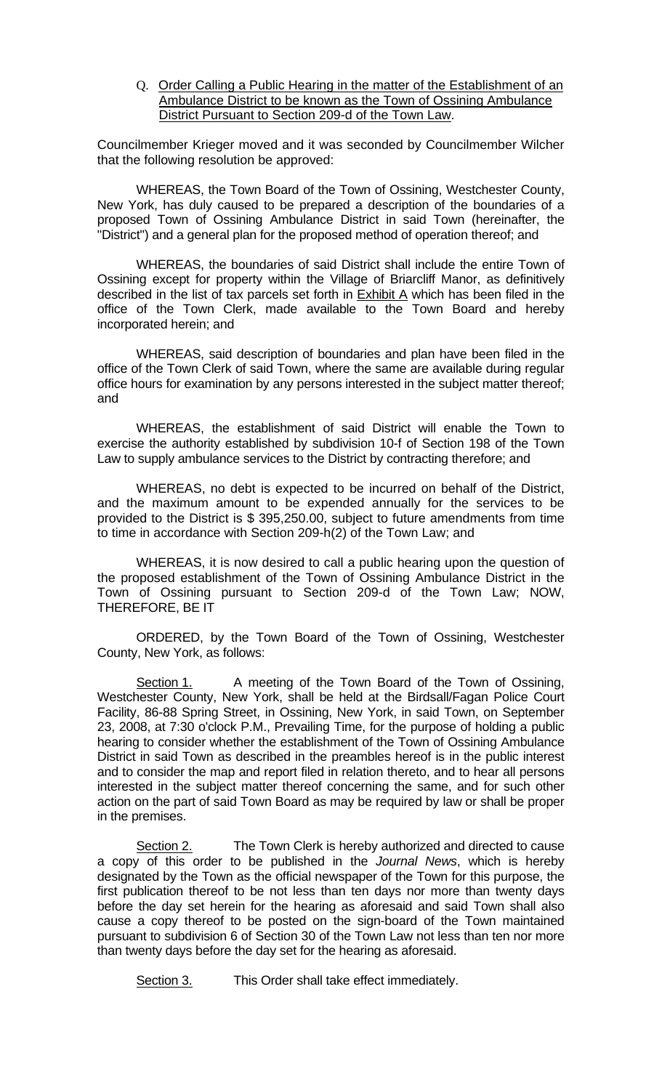Q. Order Calling a Public Hearing in the matter of the Establishment of an Ambulance District to be known as the Town of Ossining Ambulance District Pursuant to Section 209-d of the Town Law.

Councilmember Krieger moved and it was seconded by Councilmember Wilcher that the following resolution be approved:

WHEREAS, the Town Board of the Town of Ossining, Westchester County, New York, has duly caused to be prepared a description of the boundaries of a proposed Town of Ossining Ambulance District in said Town (hereinafter, the "District") and a general plan for the proposed method of operation thereof; and

WHEREAS, the boundaries of said District shall include the entire Town of Ossining except for property within the Village of Briarcliff Manor, as definitively described in the list of tax parcels set forth in Exhibit A which has been filed in the office of the Town Clerk, made available to the Town Board and hereby incorporated herein; and

WHEREAS, said description of boundaries and plan have been filed in the office of the Town Clerk of said Town, where the same are available during regular office hours for examination by any persons interested in the subject matter thereof; and

WHEREAS, the establishment of said District will enable the Town to exercise the authority established by subdivision 10-f of Section 198 of the Town Law to supply ambulance services to the District by contracting therefore; and

WHEREAS, no debt is expected to be incurred on behalf of the District, and the maximum amount to be expended annually for the services to be provided to the District is \$ 395,250.00, subject to future amendments from time to time in accordance with Section 209-h(2) of the Town Law; and

WHEREAS, it is now desired to call a public hearing upon the question of the proposed establishment of the Town of Ossining Ambulance District in the Town of Ossining pursuant to Section 209-d of the Town Law; NOW, THEREFORE, BE IT

ORDERED, by the Town Board of the Town of Ossining, Westchester County, New York, as follows:

Section 1. A meeting of the Town Board of the Town of Ossining, Westchester County, New York, shall be held at the Birdsall/Fagan Police Court Facility, 86-88 Spring Street, in Ossining, New York, in said Town, on September 23, 2008, at 7:30 o'clock P.M., Prevailing Time, for the purpose of holding a public hearing to consider whether the establishment of the Town of Ossining Ambulance District in said Town as described in the preambles hereof is in the public interest and to consider the map and report filed in relation thereto, and to hear all persons interested in the subject matter thereof concerning the same, and for such other action on the part of said Town Board as may be required by law or shall be proper in the premises.

Section 2. The Town Clerk is hereby authorized and directed to cause a copy of this order to be published in the *Journal News*, which is hereby designated by the Town as the official newspaper of the Town for this purpose, the first publication thereof to be not less than ten days nor more than twenty days before the day set herein for the hearing as aforesaid and said Town shall also cause a copy thereof to be posted on the sign-board of the Town maintained pursuant to subdivision 6 of Section 30 of the Town Law not less than ten nor more than twenty days before the day set for the hearing as aforesaid.

Section 3. This Order shall take effect immediately.